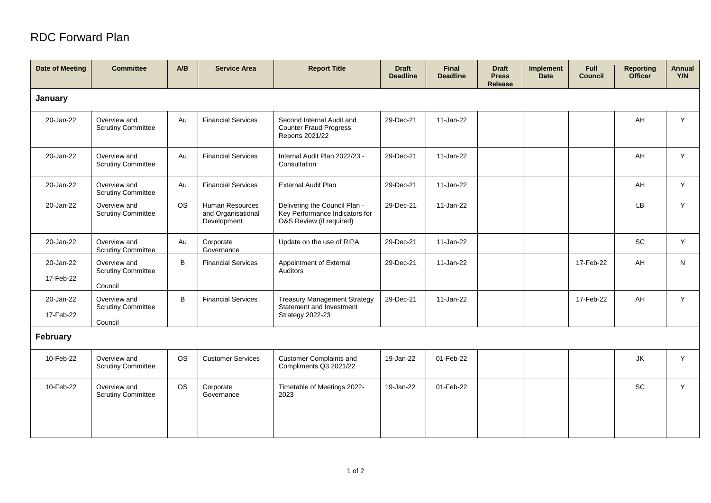## RDC Forward Plan

| <b>Date of Meeting</b> | <b>Committee</b>                                     | A/B       | <b>Service Area</b>                                  | <b>Report Title</b>                                                                         | <b>Draft</b><br><b>Deadline</b> | <b>Final</b><br><b>Deadline</b> | <b>Draft</b><br><b>Press</b><br><b>Release</b> | Implement<br><b>Date</b> | <b>Full</b><br><b>Council</b> | <b>Reporting</b><br><b>Officer</b> | <b>Annual</b><br>Y/N |
|------------------------|------------------------------------------------------|-----------|------------------------------------------------------|---------------------------------------------------------------------------------------------|---------------------------------|---------------------------------|------------------------------------------------|--------------------------|-------------------------------|------------------------------------|----------------------|
| January                |                                                      |           |                                                      |                                                                                             |                                 |                                 |                                                |                          |                               |                                    |                      |
| 20-Jan-22              | Overview and<br><b>Scrutiny Committee</b>            | Au        | <b>Financial Services</b>                            | Second Internal Audit and<br><b>Counter Fraud Progress</b><br>Reports 2021/22               | 29-Dec-21                       | 11-Jan-22                       |                                                |                          |                               | AH                                 | Y                    |
| 20-Jan-22              | Overview and<br><b>Scrutiny Committee</b>            | Au        | <b>Financial Services</b>                            | Internal Audit Plan 2022/23 -<br>Consultation                                               | 29-Dec-21                       | 11-Jan-22                       |                                                |                          |                               | AH                                 | Y                    |
| 20-Jan-22              | Overview and<br><b>Scrutiny Committee</b>            | Au        | <b>Financial Services</b>                            | <b>External Audit Plan</b>                                                                  | 29-Dec-21                       | 11-Jan-22                       |                                                |                          |                               | AH                                 | Y                    |
| 20-Jan-22              | Overview and<br><b>Scrutiny Committee</b>            | <b>OS</b> | Human Resources<br>and Organisational<br>Development | Delivering the Council Plan -<br>Key Performance Indicators for<br>O&S Review (if required) | 29-Dec-21                       | 11-Jan-22                       |                                                |                          |                               | LB                                 | Y                    |
| 20-Jan-22              | Overview and<br><b>Scrutiny Committee</b>            | Au        | Corporate<br>Governance                              | Update on the use of RIPA                                                                   | 29-Dec-21                       | 11-Jan-22                       |                                                |                          |                               | SC                                 | Y                    |
| 20-Jan-22<br>17-Feb-22 | Overview and<br><b>Scrutiny Committee</b><br>Council | B         | <b>Financial Services</b>                            | Appointment of External<br>Auditors                                                         | 29-Dec-21                       | 11-Jan-22                       |                                                |                          | 17-Feb-22                     | AH                                 | N                    |
| 20-Jan-22<br>17-Feb-22 | Overview and<br><b>Scrutiny Committee</b><br>Council | B         | <b>Financial Services</b>                            | <b>Treasury Management Strategy</b><br>Statement and Investment<br><b>Strategy 2022-23</b>  | 29-Dec-21                       | 11-Jan-22                       |                                                |                          | 17-Feb-22                     | AH                                 | Y                    |
| February               |                                                      |           |                                                      |                                                                                             |                                 |                                 |                                                |                          |                               |                                    |                      |
| 10-Feb-22              | Overview and<br><b>Scrutiny Committee</b>            | <b>OS</b> | <b>Customer Services</b>                             | <b>Customer Complaints and</b><br>Compliments Q3 2021/22                                    | 19-Jan-22                       | 01-Feb-22                       |                                                |                          |                               | JK                                 | Y                    |
| 10-Feb-22              | Overview and<br><b>Scrutiny Committee</b>            | <b>OS</b> | Corporate<br>Governance                              | Timetable of Meetings 2022-<br>2023                                                         | 19-Jan-22                       | 01-Feb-22                       |                                                |                          |                               | SC                                 | Y                    |